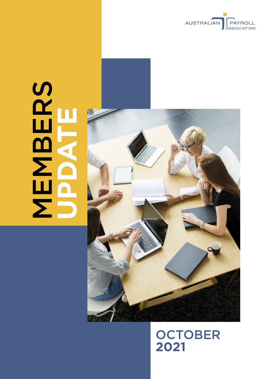

# **MBERS UPDATE**



# **OCTOBER 2021**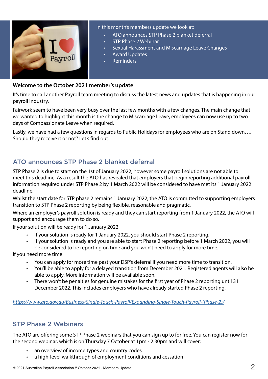

### In this month's members update we look at:

- ATO announces STP Phase 2 blanket deferral
- STP Phase 2 Webinar
- Sexual Harassment and Miscarriage Leave Changes
- Award Updates
- **Reminders**

### **Welcome to the October 2021 member's update**

It's time to call another Payroll team meeting to discuss the latest news and updates that is happening in our payroll industry.

Fairwork seem to have been very busy over the last few months with a few changes. The main change that we wanted to highlight this month is the change to Miscarriage Leave, employees can now use up to two days of Compassionate Leave when required.

Lastly, we have had a few questions in regards to Public Holidays for employees who are on Stand down…. Should they receive it or not? Let's find out.

## ATO announces STP Phase 2 blanket deferral

STP Phase 2 is due to start on the 1st of January 2022, however some payroll solutions are not able to meet this deadline. As a result the ATO has revealed that employers that begin reporting additional payroll information required under STP Phase 2 by 1 March 2022 will be considered to have met its 1 January 2022 deadline.

Whilst the start date for STP phase 2 remains 1 January 2022, the ATO is committed to supporting employers transition to STP Phase 2 reporting by being flexible, reasonable and pragmatic.

Where an employer's payroll solution is ready and they can start reporting from 1 January 2022, the ATO will support and encourage them to do so.

If your solution will be ready for 1 January 2022

- If your solution is ready for 1 January 2022, you should start Phase 2 reporting.
- If your solution is ready and you are able to start Phase 2 reporting before 1 March 2022, you will be considered to be reporting on time and you won't need to apply for more time.

If you need more time

- You can apply for more time past your DSP's deferral if you need more time to transition.
- You'll be able to apply for a delayed transition from December 2021. Registered agents will also be able to apply. More information will be available soon.
- There won't be penalties for genuine mistakes for the first year of Phase 2 reporting until 31 December 2022. This includes employers who have already started Phase 2 reporting.

*[https://www.ato.gov.au/Business/Single-Touch-Payroll/Expanding-Single-Touch-Payroll-\(Phase-2\)/](https://www.ato.gov.au/Business/Single-Touch-Payroll/Expanding-Single-Touch-Payroll-(Phase-2)/)*

### STP Phase 2 Webinars

The ATO are offering some STP Phase 2 webinars that you can sign up to for free. You can register now for the second webinar, which is on Thursday 7 October at 1pm - 2:30pm and will cover:

- an overview of income types and country codes
- a high-level walkthrough of employment conditions and cessation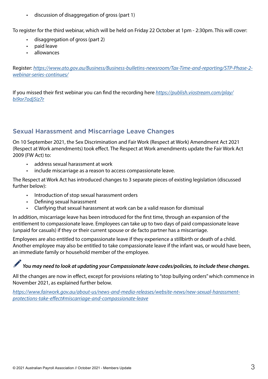• discussion of disaggregation of gross (part 1)

To register for the third webinar, which will be held on Friday 22 October at 1pm - 2:30pm. This will cover:

- disaggregation of gross (part 2)
- paid leave
- allowances

Register: *[https://www.ato.gov.au/Business/Business-bulletins-newsroom/Tax-Time-and-reporting/STP-Phase-2](https://www.ato.gov.au/Business/Business-bulletins-newsroom/Tax-Time-and-reporting/STP-Phase-2-webinar-series-continues/) [webinar-series-continues/](https://www.ato.gov.au/Business/Business-bulletins-newsroom/Tax-Time-and-reporting/STP-Phase-2-webinar-series-continues/)*

If you missed their first webinar you can find the recording here *[https://publish.viostream.com/play/](https://publish.viostream.com/play/bi9or7odj5iz7r) [bi9or7odj5iz7r](https://publish.viostream.com/play/bi9or7odj5iz7r)*

# Sexual Harassment and Miscarriage Leave Changes

On 10 September 2021, the Sex Discrimination and Fair Work (Respect at Work) Amendment Act 2021 (Respect at Work amendments) took effect. The Respect at Work amendments update the Fair Work Act 2009 (FW Act) to:

- address sexual harassment at work
- include miscarriage as a reason to access compassionate leave.

The Respect at Work Act has introduced changes to 3 separate pieces of existing legislation (discussed further below):

- Introduction of stop sexual harassment orders
- Defining sexual harassment
- Clarifying that sexual harassment at work can be a valid reason for dismissal

In addition, miscarriage leave has been introduced for the first time, through an expansion of the entitlement to compassionate leave. Employees can take up to two days of paid compassionate leave (unpaid for casuals) if they or their current spouse or de facto partner has a miscarriage.

Employees are also entitled to compassionate leave if they experience a stillbirth or death of a child. Another employee may also be entitled to take compassionate leave if the infant was, or would have been, an immediate family or household member of the employee.

# *You may need to look at updating your Compassionate leave codes/policies, to include these changes.*

All the changes are now in effect, except for provisions relating to "stop bullying orders" which commence in November 2021, as explained further below.

*[https://www.fairwork.gov.au/about-us/news-and-media-releases/website-news/new-sexual-harassment](https://www.fairwork.gov.au/about-us/news-and-media-releases/website-news/new-sexual-harassment-protections-take-effect#miscarriage-and-compassionate-leave)[protections-take-effect#miscarriage-and-compassionate-leave](https://www.fairwork.gov.au/about-us/news-and-media-releases/website-news/new-sexual-harassment-protections-take-effect#miscarriage-and-compassionate-leave)*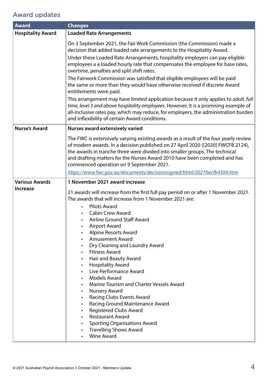# Award updates

| <b>Award</b>             | <b>Changes</b>                                                                                                                                                                                                                                                                                                                                                                                                                                                                                                                                                                                                                                                                                                                                                                                                                                                                                                                                                     |
|--------------------------|--------------------------------------------------------------------------------------------------------------------------------------------------------------------------------------------------------------------------------------------------------------------------------------------------------------------------------------------------------------------------------------------------------------------------------------------------------------------------------------------------------------------------------------------------------------------------------------------------------------------------------------------------------------------------------------------------------------------------------------------------------------------------------------------------------------------------------------------------------------------------------------------------------------------------------------------------------------------|
| <b>Hospitality Award</b> | <b>Loaded Rate Arrangements</b>                                                                                                                                                                                                                                                                                                                                                                                                                                                                                                                                                                                                                                                                                                                                                                                                                                                                                                                                    |
|                          | On 3 September 2021, the Fair Work Commission (the Commission) made a<br>decision that added loaded rate arrangements to the Hospitality Award.<br>Under these Loaded Rate Arrangements, hospitality employers can pay eligible<br>employees a a loaded hourly rate that compensates the employee for base rates,<br>overtime, penalties and split shift rates.<br>The Fairwork Commission was satisfied that eligible employees will be paid<br>the same or more than they would have otherwise received if discrete Award<br>entitlements were paid.<br>This arrangement may have limited application because it only applies to <i>adult</i> , full<br>time, level 3 and above hospitality employees. However, it is a promising example of<br>all-inclusive rates pay, which may reduce, for employers, the administration burden                                                                                                                              |
|                          | and inflexibility of certain Award conditions.                                                                                                                                                                                                                                                                                                                                                                                                                                                                                                                                                                                                                                                                                                                                                                                                                                                                                                                     |
| <b>Nurse's Award</b>     | <b>Nurses award extensively varied</b>                                                                                                                                                                                                                                                                                                                                                                                                                                                                                                                                                                                                                                                                                                                                                                                                                                                                                                                             |
|                          | The FWC is extensively varying existing awards as a result of the four yearly review<br>of modern awards. In a decision published on 27 April 2020 ([2020] FWCFB 2124),<br>the awards in tranche three were divided into smaller groups. The technical<br>and drafting matters for the Nurses Award 2010 have been completed and has<br>commenced operation on 9 September 2021.<br>https://www.fwc.gov.au/documents/decisionssigned/html/2021fwcfb4504.htm                                                                                                                                                                                                                                                                                                                                                                                                                                                                                                        |
| <b>Various Awards</b>    | 1 November 2021 award increase                                                                                                                                                                                                                                                                                                                                                                                                                                                                                                                                                                                                                                                                                                                                                                                                                                                                                                                                     |
| <b>Increase</b>          | 21 awards will increase from the first full pay period on or after 1 November 2021.<br>The awards that will increase from 1 November 2021 are:<br><b>Pilots Award</b><br><b>Cabin Crew Award</b><br>Airline Ground Staff Award<br>Airport Award<br><b>Alpine Resorts Award</b><br><b>Amusement Award</b><br>$\bullet$<br>Dry Cleaning and Laundry Award<br>$\bullet$<br><b>Fitness Award</b><br>$\bullet$<br>Hair and Beauty Award<br>$\bullet$<br><b>Hospitality Award</b><br>$\bullet$<br>Live Performance Award<br>$\bullet$<br><b>Models Award</b><br>$\bullet$<br>Marine Tourism and Charter Vessels Award<br>$\bullet$<br><b>Nursery Award</b><br>$\bullet$<br><b>Racing Clubs Events Award</b><br>$\bullet$<br>Racing Ground Maintenance Award<br>$\bullet$<br><b>Registered Clubs Award</b><br>$\bullet$<br><b>Restaurant Award</b><br>$\bullet$<br><b>Sporting Organisations Award</b><br><b>Travelling Shows Award</b><br>$\bullet$<br><b>Wine Award</b> |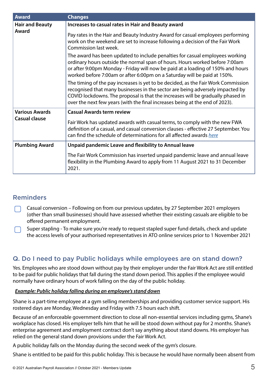| <b>Award</b>                                  | <b>Changes</b>                                                                                                                                                                                                                                                                                                                        |
|-----------------------------------------------|---------------------------------------------------------------------------------------------------------------------------------------------------------------------------------------------------------------------------------------------------------------------------------------------------------------------------------------|
| <b>Hair and Beauty</b><br>Award               | Increases to casual rates in Hair and Beauty award                                                                                                                                                                                                                                                                                    |
|                                               | Pay rates in the Hair and Beauty Industry Award for casual employees performing<br>work on the weekend are set to increase following a decision of the Fair Work<br>Commission last week.                                                                                                                                             |
|                                               | The award has been updated to include penalties for casual employees working<br>ordinary hours outside the normal span of hours. Hours worked before 7:00am<br>or after 9:00pm Monday - Friday will now be paid at a loading of 150% and hours<br>worked before 7:00am or after 6:00pm on a Saturday will be paid at 150%.            |
|                                               | The timing of the pay increases is yet to be decided, as the Fair Work Commission<br>recognised that many businesses in the sector are being adversely impacted by<br>COVID lockdowns. The proposal is that the increases will be gradually phased in<br>over the next few years (with the final increases being at the end of 2023). |
| <b>Various Awards</b><br><b>Casual clause</b> | <b>Casual Awards term review</b>                                                                                                                                                                                                                                                                                                      |
|                                               | Fair Work has updated awards with casual terms, to comply with the new FWA<br>definition of a casual, and casual conversion clauses - effective 27 September. You<br>can find the schedule of determinations for all affected awards here                                                                                             |
| <b>Plumbing Award</b>                         | Unpaid pandemic Leave and flexibility to Annual leave                                                                                                                                                                                                                                                                                 |
|                                               | The Fair Work Commission has inserted unpaid pandemic leave and annual leave<br>flexibility in the Plumbing Award to apply from 11 August 2021 to 31 December<br>2021.                                                                                                                                                                |

### Reminders

- Casual conversion Following on from our previous updates, by 27 September 2021 employers (other than small businesses) should have assessed whether their existing casuals are eligible to be offered permanent employment.
- Super stapling To make sure you're ready to request stapled super fund details, check and update the access levels of your authorised representatives in ATO online services prior to 1 November 2021

# Q. Do I need to pay Public holidays while employees are on stand down?

Yes. Employees who are stood down without pay by their employer under the Fair Work Act are still entitled to be paid for public holidays that fall during the stand down period. This applies if the employee would normally have ordinary hours of work falling on the day of the public holiday.

### *Example: Public holiday falling during an employee's stand down*

Shane is a part-time employee at a gym selling memberships and providing customer service support. His rostered days are Monday, Wednesday and Friday with 7.5 hours each shift.

Because of an enforceable government direction to close all non-essential services including gyms, Shane's workplace has closed. His employer tells him that he will be stood down without pay for 2 months. Shane's enterprise agreement and employment contract don't say anything about stand downs. His employer has relied on the general stand down provisions under the Fair Work Act.

A public holiday falls on the Monday during the second week of the gym's closure.

Shane is entitled to be paid for this public holiday. This is because he would have normally been absent from